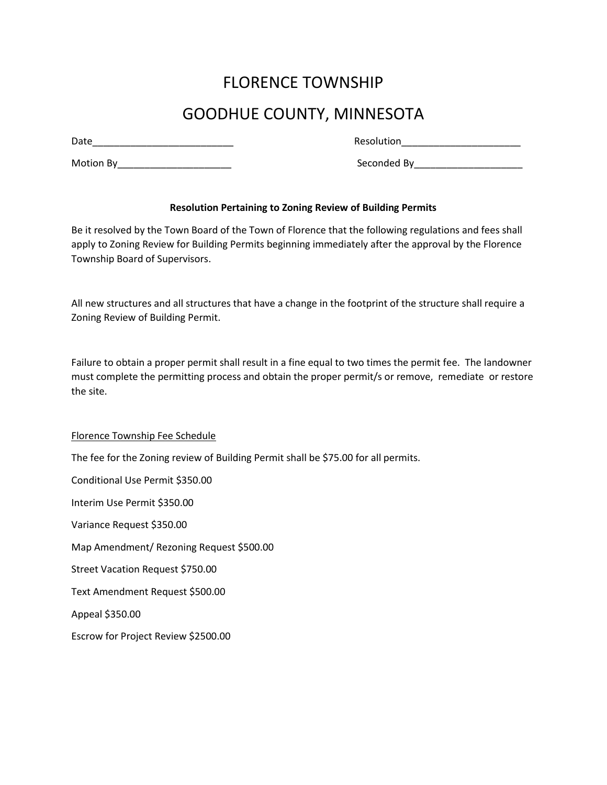## FLORENCE TOWNSHIP

## GOODHUE COUNTY, MINNESOTA

Date\_\_\_\_\_\_\_\_\_\_\_\_\_\_\_\_\_\_\_\_\_\_\_\_\_\_ Resolution\_\_\_\_\_\_\_\_\_\_\_\_\_\_\_\_\_\_\_\_\_\_

Motion By\_\_\_\_\_\_\_\_\_\_\_\_\_\_\_\_\_\_\_\_\_ Seconded By\_\_\_\_\_\_\_\_\_\_\_\_\_\_\_\_\_\_\_\_

## **Resolution Pertaining to Zoning Review of Building Permits**

Be it resolved by the Town Board of the Town of Florence that the following regulations and fees shall apply to Zoning Review for Building Permits beginning immediately after the approval by the Florence Township Board of Supervisors.

All new structures and all structures that have a change in the footprint of the structure shall require a Zoning Review of Building Permit.

Failure to obtain a proper permit shall result in a fine equal to two times the permit fee. The landowner must complete the permitting process and obtain the proper permit/s or remove, remediate or restore the site.

Florence Township Fee Schedule The fee for the Zoning review of Building Permit shall be \$75.00 for all permits. Conditional Use Permit \$350.00 Interim Use Permit \$350.00 Variance Request \$350.00 Map Amendment/ Rezoning Request \$500.00 Street Vacation Request \$750.00 Text Amendment Request \$500.00 Appeal \$350.00 Escrow for Project Review \$2500.00